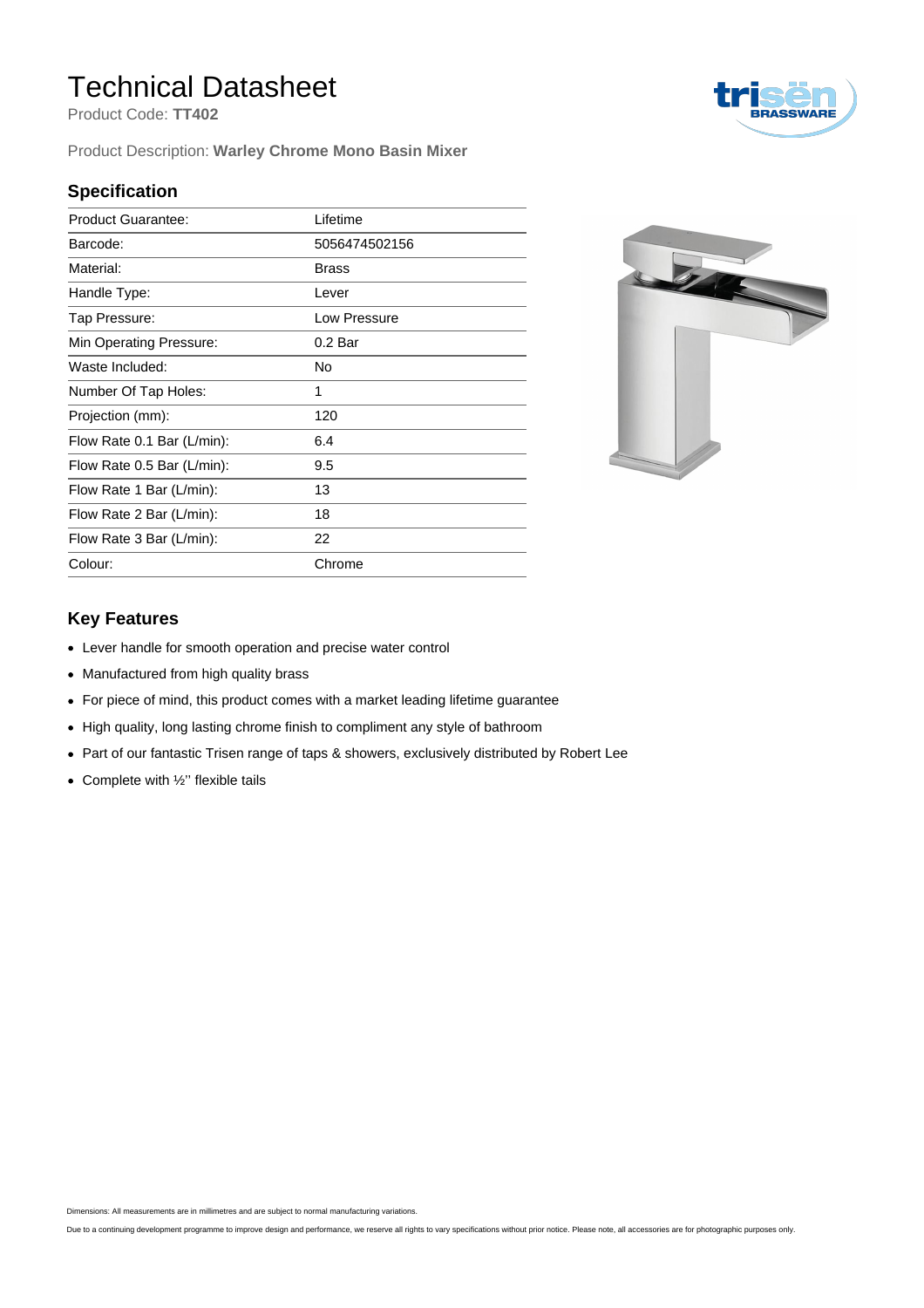## Technical Datasheet

Product Code: **TT402**

Product Description: **Warley Chrome Mono Basin Mixer**

#### **Specification**

| <b>Product Guarantee:</b>  | Lifetime           |
|----------------------------|--------------------|
| Barcode:                   | 5056474502156      |
| Material:                  | <b>Brass</b>       |
| Handle Type:               | Lever              |
| Tap Pressure:              | Low Pressure       |
| Min Operating Pressure:    | 0.2 <sub>Bar</sub> |
| Waste Included:            | No                 |
| Number Of Tap Holes:       | 1                  |
| Projection (mm):           | 120                |
| Flow Rate 0.1 Bar (L/min): | 6.4                |
| Flow Rate 0.5 Bar (L/min): | 9.5                |
| Flow Rate 1 Bar (L/min):   | 13                 |
| Flow Rate 2 Bar (L/min):   | 18                 |
| Flow Rate 3 Bar (L/min):   | 22                 |
| Colour:                    | Chrome             |



#### **Key Features**

- Lever handle for smooth operation and precise water control
- Manufactured from high quality brass
- For piece of mind, this product comes with a market leading lifetime guarantee
- High quality, long lasting chrome finish to compliment any style of bathroom
- Part of our fantastic Trisen range of taps & showers, exclusively distributed by Robert Lee
- $\bullet$  Complete with  $\frac{1}{2}$ " flexible tails

Dimensions: All measurements are in millimetres and are subject to normal manufacturing variations.

Due to a continuing development programme to improve design and performance, we reserve all rights to vary specifications without prior notice. Please note, all accessories are for photographic purposes only.